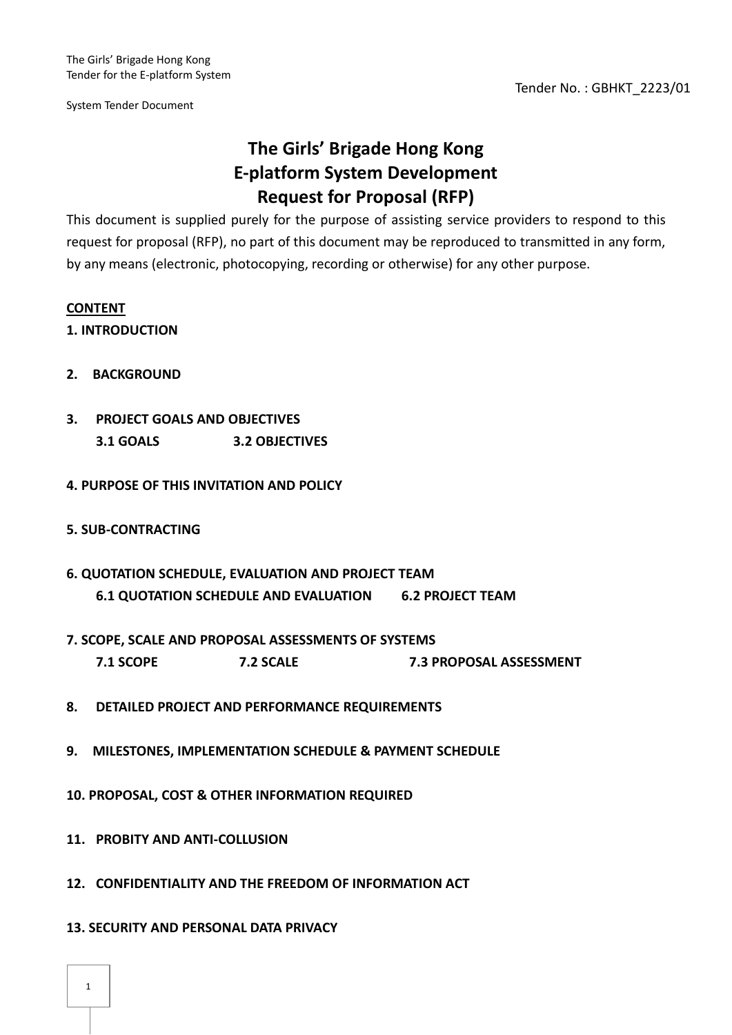# **The Girls' Brigade Hong Kong E-platform System Development Request for Proposal (RFP)**

This document is supplied purely for the purpose of assisting service providers to respond to this request for proposal (RFP), no part of this document may be reproduced to transmitted in any form, by any means (electronic, photocopying, recording or otherwise) for any other purpose.

# **CONTENT**

# **1. INTRODUCTION**

- **2. BACKGROUND**
- **3. PROJECT GOALS AND OBJECTIVES 3.1 GOALS 3.2 OBJECTIVES**
- **4. PURPOSE OF THIS INVITATION AND POLICY**
- **5. SUB-CONTRACTING**
- **6. QUOTATION SCHEDULE, EVALUATION AND PROJECT TEAM 6.1 QUOTATION SCHEDULE AND EVALUATION 6.2 PROJECT TEAM**
- **7. SCOPE, SCALE AND PROPOSAL ASSESSMENTS OF SYSTEMS 7.1 SCOPE 7.2 SCALE 7.3 PROPOSAL ASSESSMENT**
- **8. DETAILED PROJECT AND PERFORMANCE REQUIREMENTS**
- **9. MILESTONES, IMPLEMENTATION SCHEDULE & PAYMENT SCHEDULE**
- **10. PROPOSAL, COST & OTHER INFORMATION REQUIRED**
- **11. PROBITY AND ANTI-COLLUSION**
- **12. CONFIDENTIALITY AND THE FREEDOM OF INFORMATION ACT**
- **13. SECURITY AND PERSONAL DATA PRIVACY**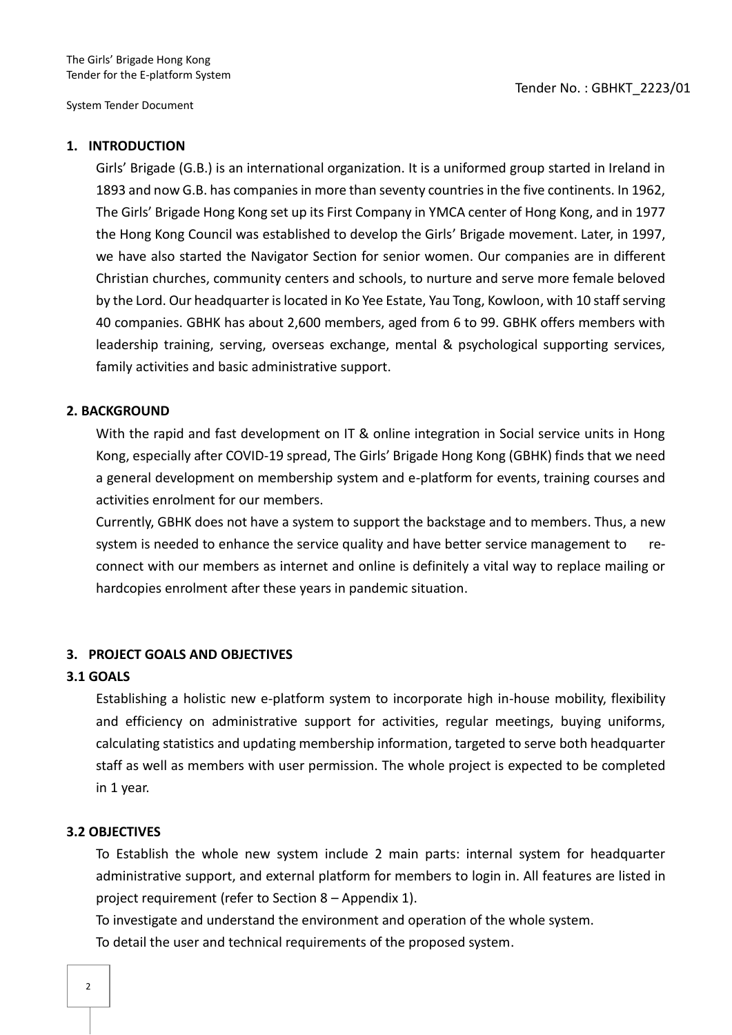### **1. INTRODUCTION**

Girls' Brigade (G.B.) is an international organization. It is a uniformed group started in Ireland in 1893 and now G.B. has companies in more than seventy countries in the five continents. In 1962, The Girls' Brigade Hong Kong set up its First Company in YMCA center of Hong Kong, and in 1977 the Hong Kong Council was established to develop the Girls' Brigade movement. Later, in 1997, we have also started the Navigator Section for senior women. Our companies are in different Christian churches, community centers and schools, to nurture and serve more female beloved by the Lord. Our headquarter is located in Ko Yee Estate, Yau Tong, Kowloon, with 10 staff serving 40 companies. GBHK has about 2,600 members, aged from 6 to 99. GBHK offers members with leadership training, serving, overseas exchange, mental & psychological supporting services, family activities and basic administrative support.

## **2. BACKGROUND**

With the rapid and fast development on IT & online integration in Social service units in Hong Kong, especially after COVID-19 spread, The Girls' Brigade Hong Kong (GBHK) finds that we need a general development on membership system and e-platform for events, training courses and activities enrolment for our members.

Currently, GBHK does not have a system to support the backstage and to members. Thus, a new system is needed to enhance the service quality and have better service management to reconnect with our members as internet and online is definitely a vital way to replace mailing or hardcopies enrolment after these years in pandemic situation.

### **3. PROJECT GOALS AND OBJECTIVES**

### **3.1 GOALS**

Establishing a holistic new e-platform system to incorporate high in-house mobility, flexibility and efficiency on administrative support for activities, regular meetings, buying uniforms, calculating statistics and updating membership information, targeted to serve both headquarter staff as well as members with user permission. The whole project is expected to be completed in 1 year.

### **3.2 OBJECTIVES**

To Establish the whole new system include 2 main parts: internal system for headquarter administrative support, and external platform for members to login in. All features are listed in project requirement (refer to Section 8 – Appendix 1).

To investigate and understand the environment and operation of the whole system.

To detail the user and technical requirements of the proposed system.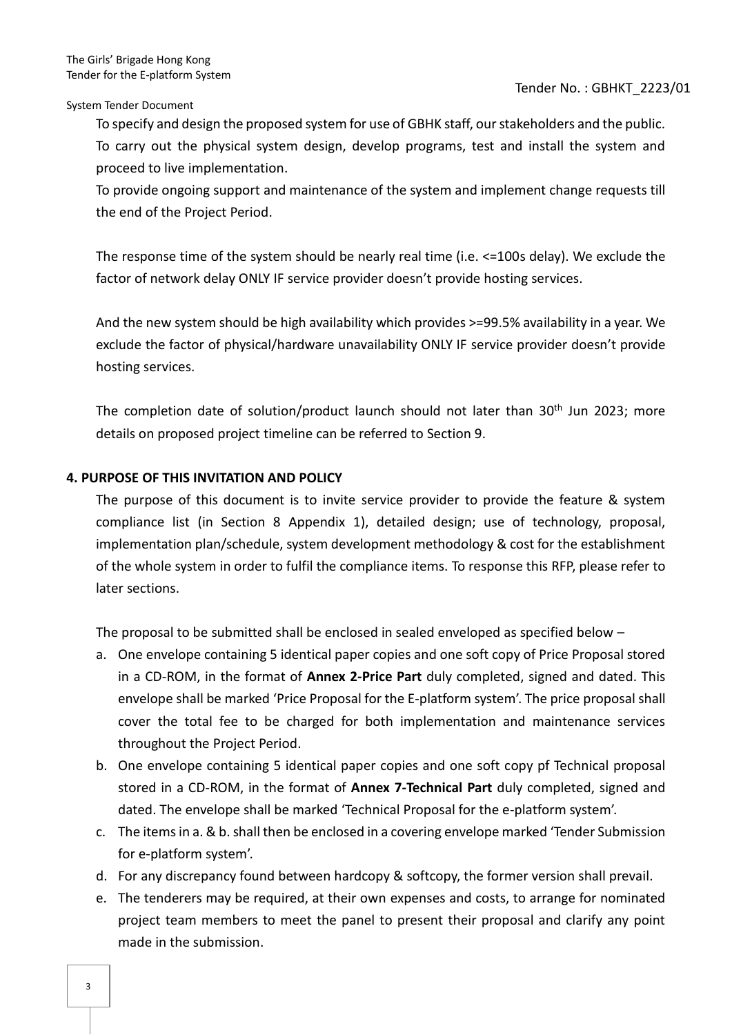Tender No. : GBHKT\_2223/01

System Tender Document

To specify and design the proposed system for use of GBHK staff, our stakeholders and the public. To carry out the physical system design, develop programs, test and install the system and proceed to live implementation.

To provide ongoing support and maintenance of the system and implement change requests till the end of the Project Period.

The response time of the system should be nearly real time (i.e. <=100s delay). We exclude the factor of network delay ONLY IF service provider doesn't provide hosting services.

And the new system should be high availability which provides >=99.5% availability in a year. We exclude the factor of physical/hardware unavailability ONLY IF service provider doesn't provide hosting services.

The completion date of solution/product launch should not later than 30<sup>th</sup> Jun 2023; more details on proposed project timeline can be referred to Section 9.

# **4. PURPOSE OF THIS INVITATION AND POLICY**

The purpose of this document is to invite service provider to provide the feature & system compliance list (in Section 8 Appendix 1), detailed design; use of technology, proposal, implementation plan/schedule, system development methodology & cost for the establishment of the whole system in order to fulfil the compliance items. To response this RFP, please refer to later sections.

The proposal to be submitted shall be enclosed in sealed enveloped as specified below –

- a. One envelope containing 5 identical paper copies and one soft copy of Price Proposal stored in a CD-ROM, in the format of **Annex 2-Price Part** duly completed, signed and dated. This envelope shall be marked 'Price Proposal for the E-platform system'. The price proposal shall cover the total fee to be charged for both implementation and maintenance services throughout the Project Period.
- b. One envelope containing 5 identical paper copies and one soft copy pf Technical proposal stored in a CD-ROM, in the format of **Annex 7-Technical Part** duly completed, signed and dated. The envelope shall be marked 'Technical Proposal for the e-platform system'.
- c. The items in a. & b. shall then be enclosed in a covering envelope marked 'Tender Submission for e-platform system'.
- d. For any discrepancy found between hardcopy & softcopy, the former version shall prevail.
- e. The tenderers may be required, at their own expenses and costs, to arrange for nominated project team members to meet the panel to present their proposal and clarify any point made in the submission.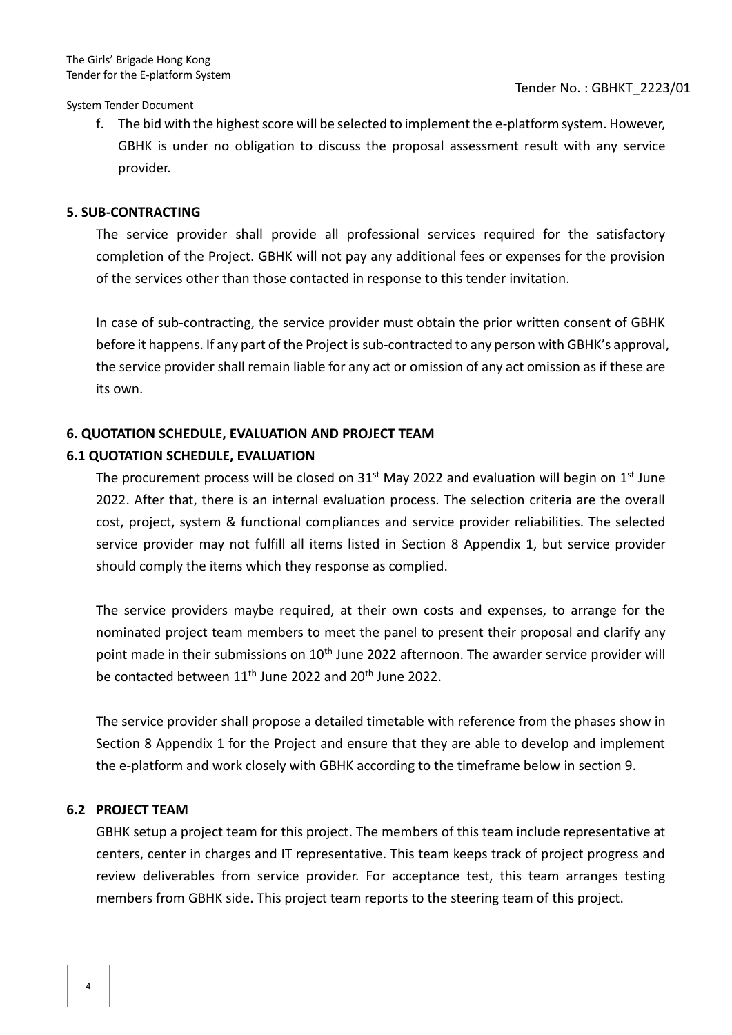f. The bid with the highest score will be selected to implement the e-platform system. However, GBHK is under no obligation to discuss the proposal assessment result with any service provider.

#### **5. SUB-CONTRACTING**

The service provider shall provide all professional services required for the satisfactory completion of the Project. GBHK will not pay any additional fees or expenses for the provision of the services other than those contacted in response to this tender invitation.

In case of sub-contracting, the service provider must obtain the prior written consent of GBHK before it happens. If any part of the Project is sub-contracted to any person with GBHK's approval, the service provider shall remain liable for any act or omission of any act omission as if these are its own.

# **6. QUOTATION SCHEDULE, EVALUATION AND PROJECT TEAM**

#### **6.1 QUOTATION SCHEDULE, EVALUATION**

The procurement process will be closed on  $31<sup>st</sup>$  May 2022 and evaluation will begin on  $1<sup>st</sup>$  June 2022. After that, there is an internal evaluation process. The selection criteria are the overall cost, project, system & functional compliances and service provider reliabilities. The selected service provider may not fulfill all items listed in Section 8 Appendix 1, but service provider should comply the items which they response as complied.

The service providers maybe required, at their own costs and expenses, to arrange for the nominated project team members to meet the panel to present their proposal and clarify any point made in their submissions on 10<sup>th</sup> June 2022 afternoon. The awarder service provider will be contacted between 11<sup>th</sup> June 2022 and 20<sup>th</sup> June 2022.

The service provider shall propose a detailed timetable with reference from the phases show in Section 8 Appendix 1 for the Project and ensure that they are able to develop and implement the e-platform and work closely with GBHK according to the timeframe below in section 9.

### **6.2 PROJECT TEAM**

GBHK setup a project team for this project. The members of this team include representative at centers, center in charges and IT representative. This team keeps track of project progress and review deliverables from service provider. For acceptance test, this team arranges testing members from GBHK side. This project team reports to the steering team of this project.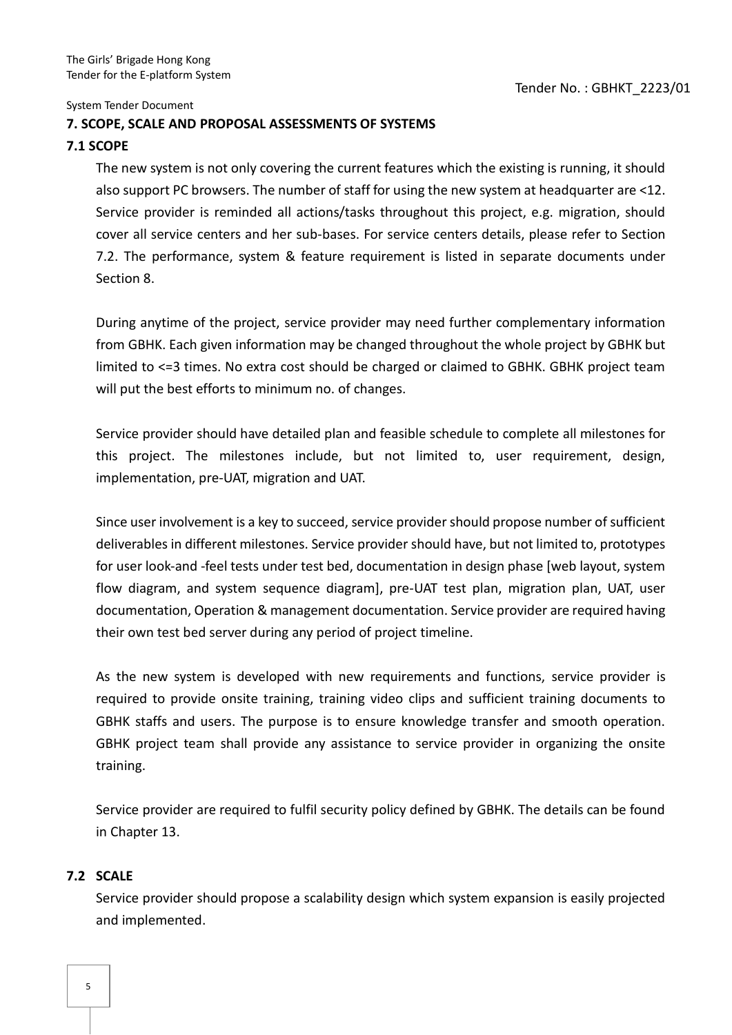### **7. SCOPE, SCALE AND PROPOSAL ASSESSMENTS OF SYSTEMS**

### **7.1 SCOPE**

The new system is not only covering the current features which the existing is running, it should also support PC browsers. The number of staff for using the new system at headquarter are <12. Service provider is reminded all actions/tasks throughout this project, e.g. migration, should cover all service centers and her sub-bases. For service centers details, please refer to Section 7.2. The performance, system & feature requirement is listed in separate documents under Section 8.

During anytime of the project, service provider may need further complementary information from GBHK. Each given information may be changed throughout the whole project by GBHK but limited to <=3 times. No extra cost should be charged or claimed to GBHK. GBHK project team will put the best efforts to minimum no. of changes.

Service provider should have detailed plan and feasible schedule to complete all milestones for this project. The milestones include, but not limited to, user requirement, design, implementation, pre-UAT, migration and UAT.

Since user involvement is a key to succeed, service provider should propose number of sufficient deliverables in different milestones. Service provider should have, but not limited to, prototypes for user look-and -feel tests under test bed, documentation in design phase [web layout, system flow diagram, and system sequence diagram], pre-UAT test plan, migration plan, UAT, user documentation, Operation & management documentation. Service provider are required having their own test bed server during any period of project timeline.

As the new system is developed with new requirements and functions, service provider is required to provide onsite training, training video clips and sufficient training documents to GBHK staffs and users. The purpose is to ensure knowledge transfer and smooth operation. GBHK project team shall provide any assistance to service provider in organizing the onsite training.

Service provider are required to fulfil security policy defined by GBHK. The details can be found in Chapter 13.

### **7.2 SCALE**

Service provider should propose a scalability design which system expansion is easily projected and implemented.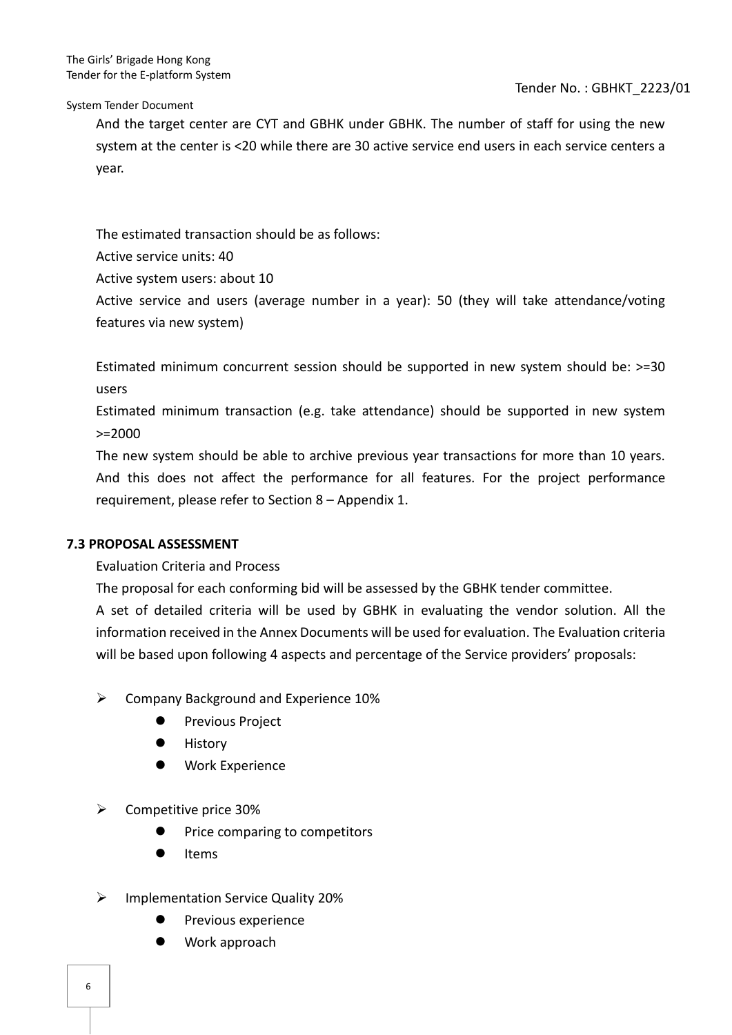Tender No. : GBHKT\_2223/01

System Tender Document

And the target center are CYT and GBHK under GBHK. The number of staff for using the new system at the center is <20 while there are 30 active service end users in each service centers a year.

The estimated transaction should be as follows:

Active service units: 40

Active system users: about 10

Active service and users (average number in a year): 50 (they will take attendance/voting features via new system)

Estimated minimum concurrent session should be supported in new system should be: >=30 users

Estimated minimum transaction (e.g. take attendance) should be supported in new system >=2000

The new system should be able to archive previous year transactions for more than 10 years. And this does not affect the performance for all features. For the project performance requirement, please refer to Section 8 – Appendix 1.

# **7.3 PROPOSAL ASSESSMENT**

Evaluation Criteria and Process

The proposal for each conforming bid will be assessed by the GBHK tender committee.

A set of detailed criteria will be used by GBHK in evaluating the vendor solution. All the information received in the Annex Documents will be used for evaluation. The Evaluation criteria will be based upon following 4 aspects and percentage of the Service providers' proposals:

- ➢ Company Background and Experience 10%
	- ⚫ Previous Project
	- **History**
	- ⚫ Work Experience
- $\triangleright$  Competitive price 30%
	- ⚫ Price comparing to competitors
	- **Items**
- ➢ Implementation Service Quality 20%
	- ⚫ Previous experience
	- ⚫ Work approach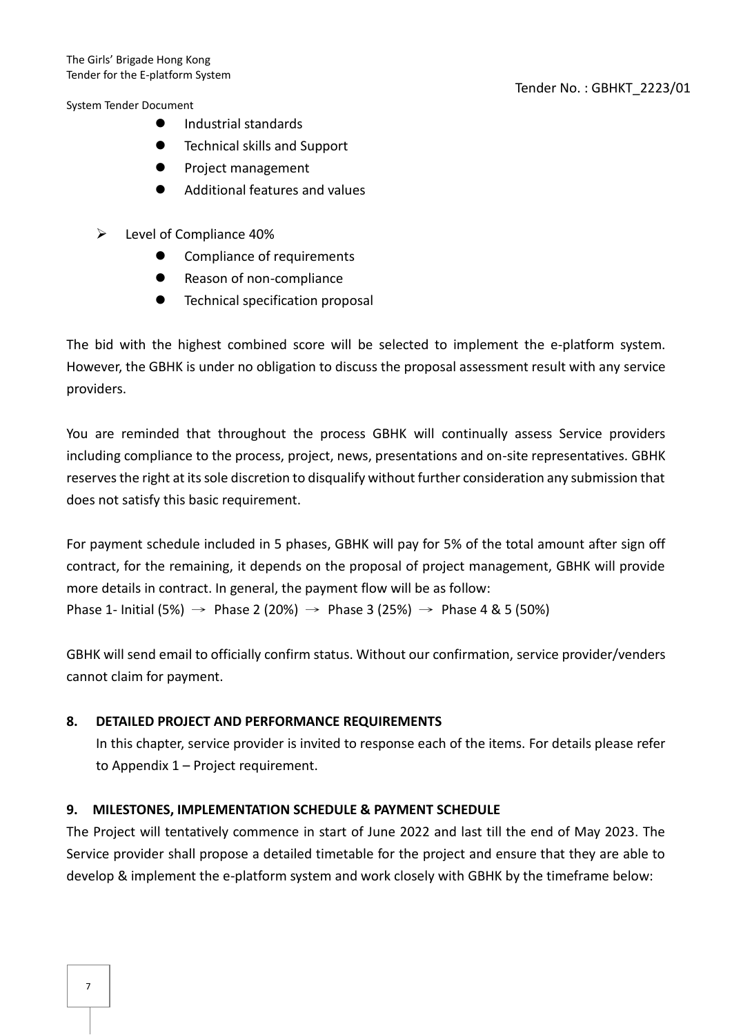- ⚫ Industrial standards
- Technical skills and Support
- ⚫ Project management
- ⚫ Additional features and values
- ➢ Level of Compliance 40%
	- Compliance of requirements
	- Reason of non-compliance
	- ⚫ Technical specification proposal

The bid with the highest combined score will be selected to implement the e-platform system. However, the GBHK is under no obligation to discuss the proposal assessment result with any service providers.

You are reminded that throughout the process GBHK will continually assess Service providers including compliance to the process, project, news, presentations and on-site representatives. GBHK reserves the right at its sole discretion to disqualify without further consideration any submission that does not satisfy this basic requirement.

For payment schedule included in 5 phases, GBHK will pay for 5% of the total amount after sign off contract, for the remaining, it depends on the proposal of project management, GBHK will provide more details in contract. In general, the payment flow will be as follow: Phase 1- Initial (5%) → Phase 2 (20%) → Phase 3 (25%) → Phase 4 & 5 (50%)

GBHK will send email to officially confirm status. Without our confirmation, service provider/venders cannot claim for payment.

# **8. DETAILED PROJECT AND PERFORMANCE REQUIREMENTS**

In this chapter, service provider is invited to response each of the items. For details please refer to Appendix 1 – Project requirement.

# **9. MILESTONES, IMPLEMENTATION SCHEDULE & PAYMENT SCHEDULE**

The Project will tentatively commence in start of June 2022 and last till the end of May 2023. The Service provider shall propose a detailed timetable for the project and ensure that they are able to develop & implement the e-platform system and work closely with GBHK by the timeframe below: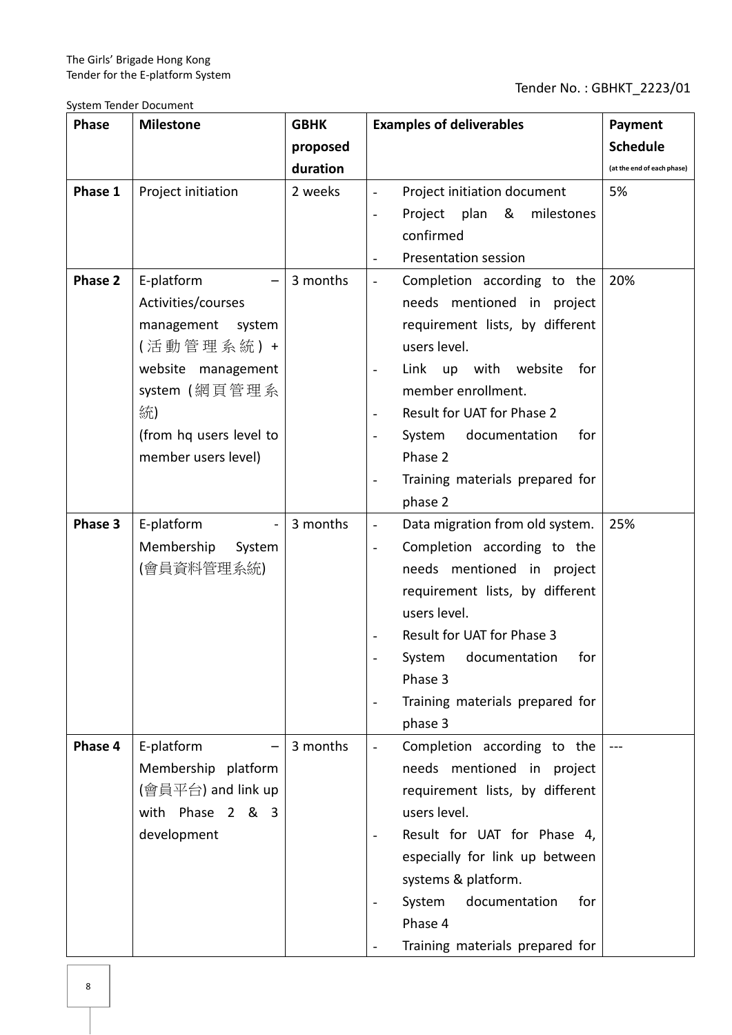System Tender Document

| <b>Phase</b> | <b>Milestone</b>                                                                                                                                                   | <b>GBHK</b> | <b>Examples of deliverables</b>                                                                                                                                                                                                                                                                                                                                                    | Payment                    |
|--------------|--------------------------------------------------------------------------------------------------------------------------------------------------------------------|-------------|------------------------------------------------------------------------------------------------------------------------------------------------------------------------------------------------------------------------------------------------------------------------------------------------------------------------------------------------------------------------------------|----------------------------|
|              |                                                                                                                                                                    | proposed    |                                                                                                                                                                                                                                                                                                                                                                                    | <b>Schedule</b>            |
|              |                                                                                                                                                                    | duration    |                                                                                                                                                                                                                                                                                                                                                                                    | (at the end of each phase) |
| Phase 1      | Project initiation                                                                                                                                                 | 2 weeks     | Project initiation document<br>Project plan & milestones<br>$\blacksquare$<br>confirmed<br>Presentation session<br>$\overline{\phantom{a}}$                                                                                                                                                                                                                                        | 5%                         |
| Phase 2      | E-platform<br>Activities/courses<br>management system<br>(活動管理系統) +<br>website management<br>system (網頁管理系<br>統)<br>(from hq users level to<br>member users level) | 3 months    | Completion according to the<br>$\overline{\phantom{a}}$<br>needs mentioned in project<br>requirement lists, by different<br>users level.<br>Link up with website<br>for<br>member enrollment.<br>Result for UAT for Phase 2<br>System documentation<br>for<br>Phase 2<br>Training materials prepared for<br>phase 2                                                                | 20%                        |
| Phase 3      | E-platform<br>Membership<br>System<br>(會員資料管理系統)                                                                                                                   | 3 months    | Data migration from old system.<br>$\overline{\phantom{a}}$<br>Completion according to the<br>$\overline{\phantom{a}}$<br>needs mentioned in project<br>requirement lists, by different<br>users level.<br>Result for UAT for Phase 3<br>$\overline{\phantom{a}}$<br>System documentation for<br>Phase 3<br>Training materials prepared for<br>$\overline{\phantom{a}}$<br>phase 3 | 25%                        |
| Phase 4      | E-platform<br>Membership platform<br>(會員平台) and link up<br>with Phase 2 & 3<br>development                                                                         | 3 months    | Completion according to the<br>$\overline{\phantom{a}}$<br>needs mentioned in project<br>requirement lists, by different<br>users level.<br>Result for UAT for Phase 4,<br>$\overline{\phantom{a}}$<br>especially for link up between<br>systems & platform.<br>documentation<br>System<br>for<br>Phase 4<br>Training materials prepared for                                       |                            |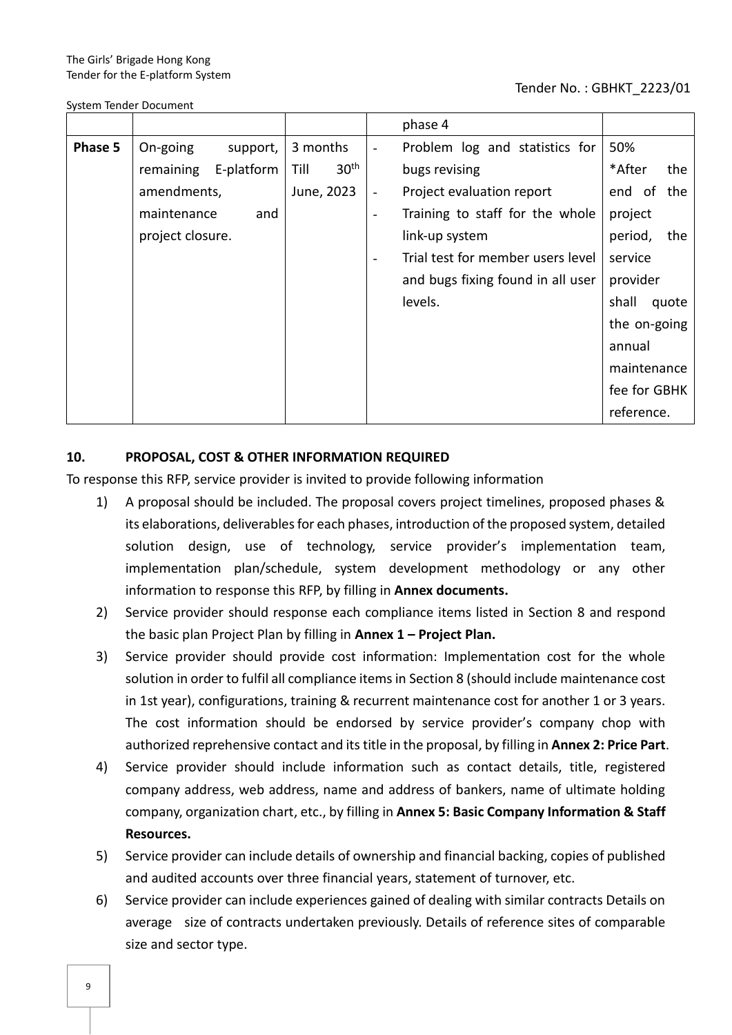System Tender Document

### Tender No. : GBHKT\_2223/01

|         |                         |                          | phase 4                                                     |                |
|---------|-------------------------|--------------------------|-------------------------------------------------------------|----------------|
| Phase 5 | On-going<br>support,    | 3 months                 | Problem log and statistics for<br>$\blacksquare$            | 50%            |
|         | E-platform<br>remaining | 30 <sup>th</sup><br>Till | bugs revising                                               | *After<br>the  |
|         | amendments,             | June, 2023               | Project evaluation report                                   | end of<br>the  |
|         | maintenance<br>and      |                          | Training to staff for the whole<br>$\overline{\phantom{a}}$ | project        |
|         | project closure.        |                          | link-up system                                              | period,<br>the |
|         |                         |                          | Trial test for member users level<br>$\blacksquare$         | service        |
|         |                         |                          | and bugs fixing found in all user                           | provider       |
|         |                         |                          | levels.                                                     | shall<br>quote |
|         |                         |                          |                                                             | the on-going   |
|         |                         |                          |                                                             | annual         |
|         |                         |                          |                                                             | maintenance    |
|         |                         |                          |                                                             | fee for GBHK   |
|         |                         |                          |                                                             | reference.     |

# **10. PROPOSAL, COST & OTHER INFORMATION REQUIRED**

To response this RFP, service provider is invited to provide following information

- 1) A proposal should be included. The proposal covers project timelines, proposed phases & its elaborations, deliverables for each phases, introduction of the proposed system, detailed solution design, use of technology, service provider's implementation team, implementation plan/schedule, system development methodology or any other information to response this RFP, by filling in **Annex documents.**
- 2) Service provider should response each compliance items listed in Section 8 and respond the basic plan Project Plan by filling in **Annex 1 – Project Plan.**
- 3) Service provider should provide cost information: Implementation cost for the whole solution in order to fulfil all compliance items in Section 8 (should include maintenance cost in 1st year), configurations, training & recurrent maintenance cost for another 1 or 3 years. The cost information should be endorsed by service provider's company chop with authorized reprehensive contact and its title in the proposal, by filling in **Annex 2: Price Part**.
- 4) Service provider should include information such as contact details, title, registered company address, web address, name and address of bankers, name of ultimate holding company, organization chart, etc., by filling in **Annex 5: Basic Company Information & Staff Resources.**
- 5) Service provider can include details of ownership and financial backing, copies of published and audited accounts over three financial years, statement of turnover, etc.
- 6) Service provider can include experiences gained of dealing with similar contracts Details on average size of contracts undertaken previously. Details of reference sites of comparable size and sector type.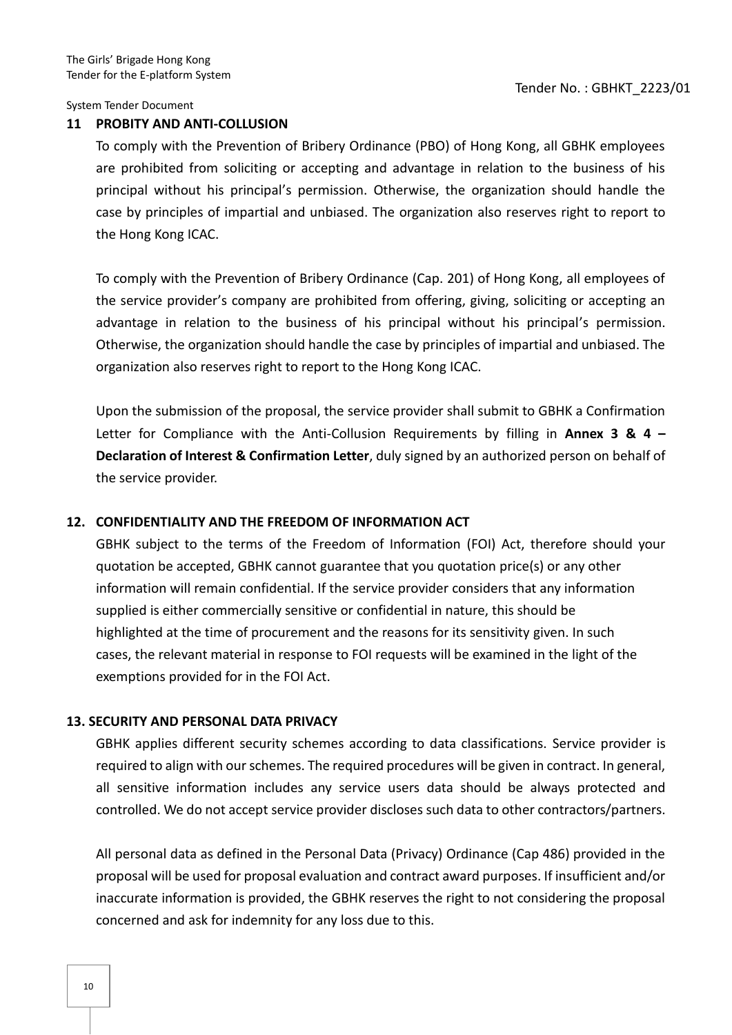### **11 PROBITY AND ANTI-COLLUSION**

To comply with the Prevention of Bribery Ordinance (PBO) of Hong Kong, all GBHK employees are prohibited from soliciting or accepting and advantage in relation to the business of his principal without his principal's permission. Otherwise, the organization should handle the case by principles of impartial and unbiased. The organization also reserves right to report to the Hong Kong ICAC.

To comply with the Prevention of Bribery Ordinance (Cap. 201) of Hong Kong, all employees of the service provider's company are prohibited from offering, giving, soliciting or accepting an advantage in relation to the business of his principal without his principal's permission. Otherwise, the organization should handle the case by principles of impartial and unbiased. The organization also reserves right to report to the Hong Kong ICAC.

Upon the submission of the proposal, the service provider shall submit to GBHK a Confirmation Letter for Compliance with the Anti-Collusion Requirements by filling in **Annex 3 & 4 – Declaration of Interest & Confirmation Letter**, duly signed by an authorized person on behalf of the service provider.

# **12. CONFIDENTIALITY AND THE FREEDOM OF INFORMATION ACT**

GBHK subject to the terms of the Freedom of Information (FOI) Act, therefore should your quotation be accepted, GBHK cannot guarantee that you quotation price(s) or any other information will remain confidential. If the service provider considers that any information supplied is either commercially sensitive or confidential in nature, this should be highlighted at the time of procurement and the reasons for its sensitivity given. In such cases, the relevant material in response to FOI requests will be examined in the light of the exemptions provided for in the FOI Act.

# **13. SECURITY AND PERSONAL DATA PRIVACY**

GBHK applies different security schemes according to data classifications. Service provider is required to align with our schemes. The required procedures will be given in contract. In general, all sensitive information includes any service users data should be always protected and controlled. We do not accept service provider discloses such data to other contractors/partners.

All personal data as defined in the Personal Data (Privacy) Ordinance (Cap 486) provided in the proposal will be used for proposal evaluation and contract award purposes. If insufficient and/or inaccurate information is provided, the GBHK reserves the right to not considering the proposal concerned and ask for indemnity for any loss due to this.